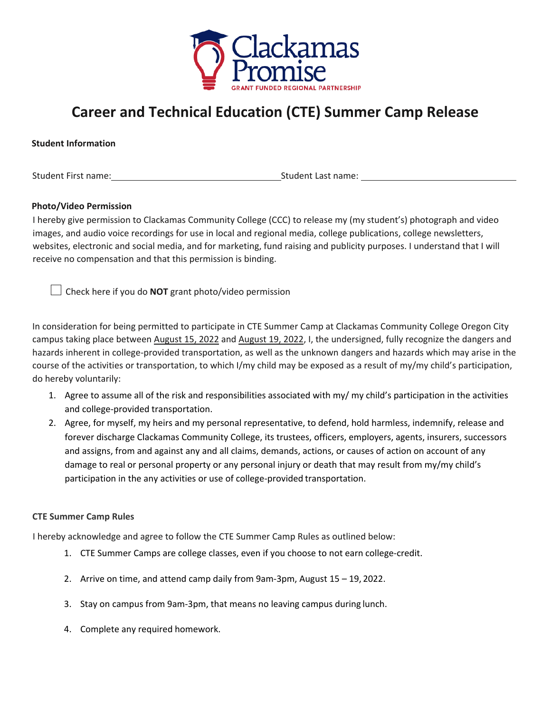

## **Career and Technical Education (CTE) Summer Camp Release**

## **Student Information**

Student First name: Student Last name: Student Last name:

## **Photo/Video Permission**

I hereby give permission to Clackamas Community College (CCC) to release my (my student's) photograph and video images, and audio voice recordings for use in local and regional media, college publications, college newsletters, websites, electronic and social media, and for marketing, fund raising and publicity purposes. I understand that I will receive no compensation and that this permission is binding.

 $\Box$  Check here if you do **NOT** grant photo/video permission

In consideration for being permitted to participate in CTE Summer Camp at Clackamas Community College Oregon City campus taking place between August 15, 2022 and August 19, 2022, I, the undersigned, fully recognize the dangers and hazards inherent in college-provided transportation, as well as the unknown dangers and hazards which may arise in the course of the activities or transportation, to which I/my child may be exposed as a result of my/my child's participation, do hereby voluntarily:

- 1. Agree to assume all of the risk and responsibilities associated with my/ my child's participation in the activities and college-provided transportation.
- 2. Agree, for myself, my heirs and my personal representative, to defend, hold harmless, indemnify, release and forever discharge Clackamas Community College, its trustees, officers, employers, agents, insurers, successors and assigns, from and against any and all claims, demands, actions, or causes of action on account of any damage to real or personal property or any personal injury or death that may result from my/my child's participation in the any activities or use of college-provided transportation.

## **CTE Summer Camp Rules**

I hereby acknowledge and agree to follow the CTE Summer Camp Rules as outlined below:

- 1. CTE Summer Camps are college classes, even if you choose to not earn college-credit.
- 2. Arrive on time, and attend camp daily from 9am-3pm, August 15 19, 2022.
- 3. Stay on campus from 9am-3pm, that means no leaving campus during lunch.
- 4. Complete any required homework.